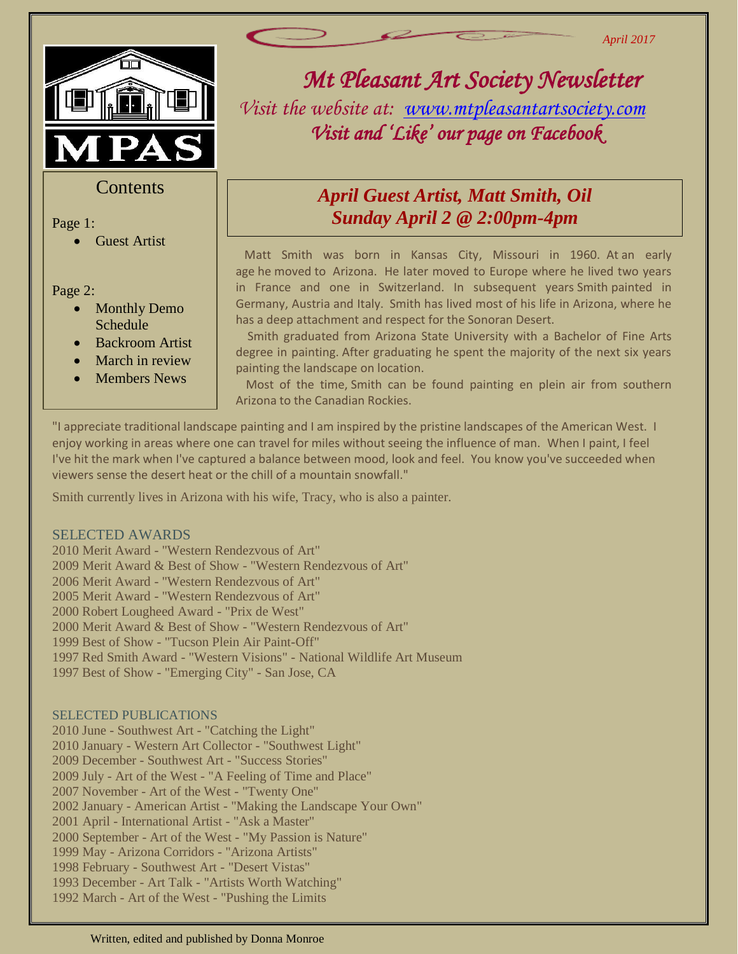

#### **Contents**

Page 1:

Guest Artist

- Page 2:<br>**e 1** • Monthly Demo Schedule
	- Backroom Artist
	- March in review
	- Members News

# *Mt Pleasant Art Society Newsletter*

*April 2017*

*Visit the website at: [www.mtpleasantartsociety.com](http://www.mtpleasantartsociety.com/) Visit and 'Like' our page on Facebook* 

## *April Guest Artist, Matt Smith, Oil Sunday April 2 @ 2:00pm-4pm*

 Matt Smith was born in Kansas City, Missouri in 1960. At an early age he moved to Arizona. He later moved to Europe where he lived two years in France and one in Switzerland. In subsequent years Smith painted in Germany, Austria and Italy. Smith has lived most of his life in Arizona, where he has a deep attachment and respect for the Sonoran Desert.

 Smith graduated from Arizona State University with a Bachelor of Fine Arts degree in painting. After graduating he spent the majority of the next six years painting the landscape on location.

 Most of the time, Smith can be found painting en plein air from southern Arizona to the Canadian Rockies.

He also paints the California coast to the mountains of Colorado. "I appreciate traditional landscape painting and I am inspired by the pristine landscapes of the American West. I enjoy working in areas where one can travel for miles without seeing the influence of man. When I paint, I feel I've hit the mark when I've captured a balance between mood, look and feel. You know you've succeeded when viewers sense the desert heat or the chill of a mountain snowfall."

Smith currently lives in Arizona with his wife, Tracy, who is also a painter.

#### SELECTED AWARDS

2010 Merit Award - "Western Rendezvous of Art" 2009 Merit Award & Best of Show - "Western Rendezvous of Art" 2006 Merit Award - "Western Rendezvous of Art" 2005 Merit Award - "Western Rendezvous of Art" 2000 Robert Lougheed Award - "Prix de West" 2000 Merit Award & Best of Show - "Western Rendezvous of Art" 1999 Best of Show - "Tucson Plein Air Paint-Off" 1997 Red Smith Award - "Western Visions" - National Wildlife Art Museum 1997 Best of Show - "Emerging City" - San Jose, CA

#### SELECTED PUBLICATIONS

2010 June - Southwest Art - "Catching the Light" 2010 January - Western Art Collector - "Southwest Light" 2009 December - Southwest Art - "Success Stories" 2009 July - Art of the West - "A Feeling of Time and Place" 2007 November - Art of the West - "Twenty One" 2002 January - American Artist - "Making the Landscape Your Own" 2001 April - International Artist - "Ask a Master" 2000 September - Art of the West - "My Passion is Nature" 1999 May - Arizona Corridors - "Arizona Artists" 1998 February - Southwest Art - "Desert Vistas" 1993 December - Art Talk - "Artists Worth Watching" 1992 March - Art of the West - "Pushing the Limits